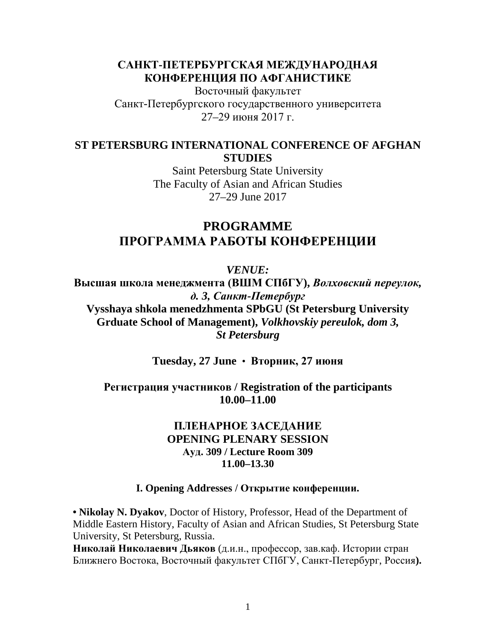# **САНКТ-ПЕТЕРБУРГСКАЯ МЕЖДУНАРОДНАЯ КОНФЕРЕНЦИЯ ПО АФГАНИСТИКЕ**

Восточный факультет Санкт-Петербургского государственного университета 27–29 июня 2017 г.

# **ST PETERSBURG INTERNATIONAL CONFERENCE OF AFGHAN STUDIES**

Saint Petersburg State University The Faculty of Asian and African Studies 27–29 June 2017

# **PROGRAMME ПРОГРАММА РАБОТЫ КОНФЕРЕНЦИИ**

*VENUE:*

**Высшая школа менеджмента (ВШМ СПбГУ),** *Волховский переулок, д. 3, Санкт-Петербург* **Vysshaya shkola menedzhmenta SPbGU (St Petersburg University Grduate School of Management),** *Volkhovskiy pereulok, dom 3, St Petersburg*

**Tuesday, 27 June** • **Вторник, 27 июня**

# **Регистрация участников / Registration of the participants 10.00–11.00**

# **ПЛЕНАРНОЕ ЗАСЕДАНИЕ OPENING PLENARY SESSION Ауд. 309 / Lecture Room 309 11.00–13.30**

# **I. Opening Addresses / Открытие конференции.**

**• Nikolay N. Dyakov**, Doctor of History, Professor, Head of the Department of Middle Eastern History, Faculty of Asian and African Studies, St Petersburg State University, St Petersburg, Russia.

**Николай Николаевич Дьяков** (д.и.н., профессор, зав.каф. Истории стран Ближнего Востока, Восточный факультет СПбГУ, Санкт-Петербург, Россия**).**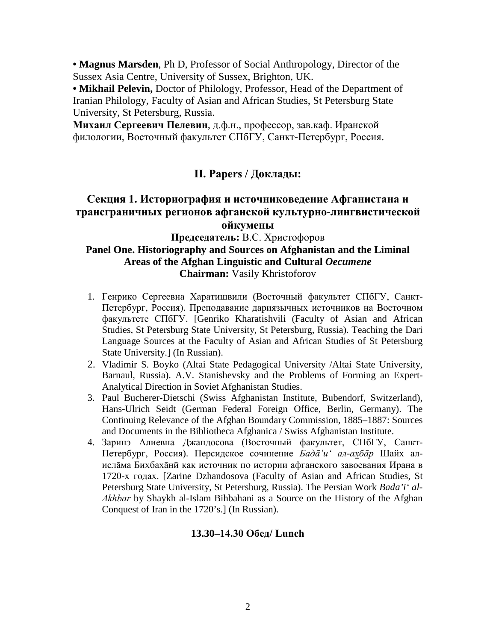**• Magnus Marsden**, Ph D, Professor of Social Anthropology, Director of the Sussex Asia Centre, University of Sussex, Brighton, UK.

**• Mikhail Pelevin,** Doctor of Philology, Professor, Head of the Department of Iranian Philology, Faculty of Asian and African Studies, St Petersburg State University, St Petersburg, Russia.

**Михаил Сергеевич Пелевин**, д.ф.н., профессор, зав.каф. Иранской филологии, Восточный факультет СПбГУ, Санкт-Петербург, Россия.

# **II. Papers / Доклады:**

# **Секция 1. Историография и источниковедение Афганистана и трансграничных регионов афганской культурно-лингвистической ойкумены**

# **Председатель:** В.С. Христофоров **Panel One. Historiography and Sources on Afghanistan and the Liminal Areas of the Afghan Linguistic and Cultural** *Oecumene* **Chairman:** Vasily Khristoforov

- 1. Генрико Сергеевна Харатишвили (Восточный факультет СПбГУ, Санкт-Петербург, Россия). Преподавание дариязычных источников на Восточном факультете СПбГУ. [Genriko Kharatishvili (Faculty of Asian and African Studies, St Petersburg State University, St Petersburg, Russia). Teaching the Dari Language Sources at the Faculty of Asian and African Studies of St Petersburg State University.] (In Russian).
- 2. Vladimir S. Boyko (Altai State Pedagogical University /Altai State University, Barnaul, Russia). A.V. Stanishevsky and the Problems of Forming an Expert-Analytical Direction in Soviet Afghanistan Studies.
- 3. Paul Bucherer-Dietschi (Swiss Afghanistan Institute, Bubendorf, Switzerland), Hans-Ulrich Seidt (German Federal Foreign Office, Berlin, Germany). The Continuing Relevance of the Afghan Boundary Commission, 1885–1887: Sources and Documents in the Bibliotheca Afghanica / Swiss Afghanistan Institute.
- 4. Заринэ Алиевна Джандосова (Восточный факультет, СПбГУ, Санкт-Петербург, Россия). Персидское сочинение *Бадā'иʻ ал-ахбāр* Шайх алислāма Бихбахāнӣ как источник по истории афганского завоевания Ирана в 1720-х годах. [Zarine Dzhandosova (Faculty of Asian and African Studies, St Petersburg State University, St Petersburg, Russia). The Persian Work *Bada'i' al-Аkhbar* by Shaykh al-Islam Bihbahani as a Source on the History of the Afghan Conquest of Iran in the 1720's.] (In Russian).

# **13.30–14.30 Обед/ Lunch**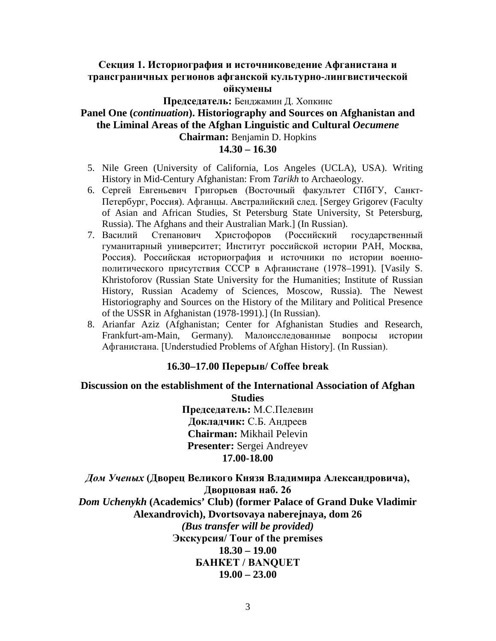# **Секция 1. Историография и источниковедение Афганистана и трансграничных регионов афганской культурно-лингвистической ойкумены**

## **Председатель:** Бенджамин Д. Хопкинс **Panel One (***continuation***). Historiography and Sources on Afghanistan and the Liminal Areas of the Afghan Linguistic and Cultural** *Oecumene* **Chairman:** Benjamin D. Hopkins **14.30 – 16.30**

- 5. Nile Green (University of California, Los Angeles (UCLA), USA). Writing History in Mid-Century Afghanistan: From *Tarikh* to Archaeology.
- 6. Сергей Евгеньевич Григорьев (Восточный факультет СПбГУ, Санкт-Петербург, Россия). Афганцы. Австралийский след. [Sergey Grigorev (Faculty of Asian and African Studies, St Petersburg State University, St Petersburg, Russia). The Afghans and their Australian Mark.] (In Russian).
- 7. Василий Степанович Христофоров (Российский государственный гуманитарный университет; Институт российской истории РАН, Москва, Россия). Российская историография и источники по истории военнополитического присутствия СССР в Афганистане (1978–1991). [Vasily S. Khristoforov (Russian State University for the Humanities; Institute of Russian History, Russian Academy of Sciences, Moscow, Russia). The Newest Historiography and Sources on the History of the Military and Political Presence of the USSR in Afghanistan (1978-1991).] (In Russian).
- 8. Arianfar Aziz (Afghanistan; Center for Afghanistan Studies and Research, Frankfurt-am-Main, Germany). Малоисследованные вопросы истории Афганистана. [Understudied Problems of Afghan History]. (In Russian).

## **16.30–17.00 Перерыв/ Coffee break**

### **Discussion on the establishment of the International Association of Afghan Studies**

**Председатель:** М.С.Пелевин **Докладчик:** С.Б. Андреев **Chairman:** Mikhail Pelevin **Presenter:** Sergei Andreyev **17.00-18.00**

*Дом Ученых* **(Дворец Великого Князя Владимира Александровича), Дворцовая наб. 26** *Dom Uchenykh* **(Academics' Club) (former Palace of Grand Duke Vladimir Alexandrovich), Dvortsovaya naberejnaya, dom 26** *(Bus transfer will be provided)* **Экскурсия/ Tour of the premises 18.30 – 19.00 БАНКЕТ / BANQUET 19.00 – 23.00**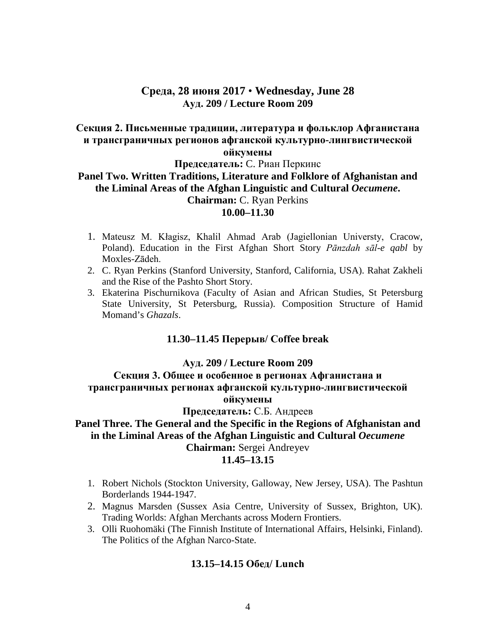## **Среда, 28 июня 2017** • **Wednesday, June 28 Ауд. 209 / Lecture Room 209**

### **Секция 2. Письменные традиции, литература и фольклор Афганистана и трансграничных регионов афганской культурно-лингвистической ойкумены**

#### **Председатель:** C. Риан Перкинс

### **Panel Two. Written Traditions, Literature and Folklore of Afghanistan and the Liminal Areas of the Afghan Linguistic and Cultural** *Oecumene***. Chairman:** C. Ryan Perkins **10.00–11.30**

- 1. Mateusz M. Kłagisz, Khalil Ahmad Arab (Jagiellonian Universty, Cracow, Poland). Education in the First Afghan Short Story *Pānzdah sāl-e qabl* by Moxles-Zādeh.
- 2. C. Ryan Perkins (Stanford University, Stanford, California, USA). Rahat Zakheli and the Rise of the Pashto Short Story.
- 3. Ekaterina Pischurnikova (Faculty of Asian and African Studies, St Petersburg State University, St Petersburg, Russia). Composition Structure of Hamid Momand's *Ghazals*.

## **11.30–11.45 Перерыв/ Coffee break**

#### **Ауд. 209 / Lecture Room 209**

**Секция 3. Общее и особенное в регионах Афганистана и трансграничных регионах афганской культурно-лингвистической ойкумены**

## **Председатель:** С.Б. Андреев

## **Panel Three. The General and the Specific in the Regions of Afghanistan and in the Liminal Areas of the Afghan Linguistic and Cultural** *Oecumene* **Chairman:** Sergei Andreyev **11.45–13.15**

- 1. Robert Nichols (Stockton University, Galloway, New Jersey, USA). The Pashtun Borderlands 1944-1947.
- 2. Magnus Marsden (Sussex Asia Centre, University of Sussex, Brighton, UK). Trading Worlds: Afghan Merchants across Modern Frontiers.
- 3. Olli Ruohomäki (The Finnish Institute of International Affairs, Helsinki, Finland). The Politics of the Afghan Narco-State.

## **13.15–14.15 Обед/ Lunch**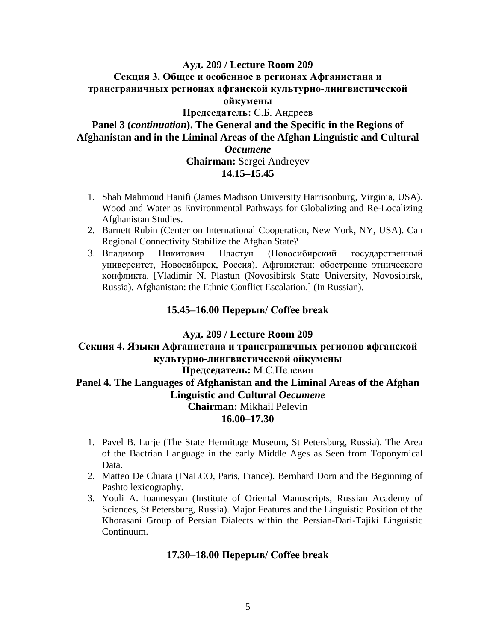# **Ауд. 209 / Lecture Room 209 Секция 3. Общее и особенное в регионах Афганистана и трансграничных регионах афганской культурно-лингвистической ойкумены Председатель:** С.Б. Андреев **Panel 3 (***continuation***). The General and the Specific in the Regions of Afghanistan and in the Liminal Areas of the Afghan Linguistic and Cultural**  *Oecumene* **Chairman:** Sergei Andreyev **14.15–15.45**

- 1. Shah Mahmoud Hanifi (James Madison University Harrisonburg, Virginia, USA). Wood and Water as Environmental Pathways for Globalizing and Re-Localizing Afghanistan Studies.
- 2. Barnett Rubin (Center on International Cooperation, New York, NY, USA). Can Regional Connectivity Stabilize the Afghan State?
- 3. Владимир Никитович Пластун (Новосибирский государственный университет, Новосибирск, Россия). Афганистан: обострение этнического конфликта. [Vladimir N. Plastun (Novosibirsk State University, Novosibirsk, Russia). Afghanistan: the Ethnic Conflict Escalation.] (In Russian).

### **15.45–16.00 Перерыв/ Coffee break**

#### **Ауд. 209 / Lecture Room 209**

# **Секция 4. Языки Афганистана и трансграничных регионов афганской культурно-лингвистической ойкумены**

### **Председатель:** М.С.Пелевин

# **Panel 4. The Languages of Afghanistan and the Liminal Areas of the Afghan Linguistic and Cultural** *Oecumene*

**Chairman:** Mikhail Pelevin

# **16.00–17.30**

- 1. Pavel B. Lurje (The State Hermitage Museum, St Petersburg, Russia). The Area of the Bactrian Language in the early Middle Ages as Seen from Toponymical Data.
- 2. Matteo De Chiara (INaLCO, Paris, France). Bernhard Dorn and the Beginning of Pashto lexicography.
- 3. Youli A. Ioannesyan (Institute of Oriental Manuscripts, Russian Academy of Sciences, St Petersburg, Russia). Major Features and the Linguistic Position of the Khorasani Group of Persian Dialects within the Persian-Dari-Tajiki Linguistic Continuum.

## **17.30–18.00 Перерыв/ Coffee break**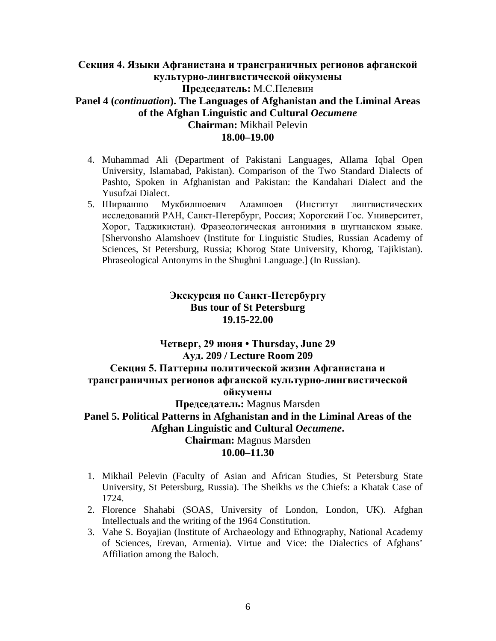# **Секция 4. Языки Афганистана и трансграничных регионов афганской культурно-лингвистической ойкумены Председатель:** М.С.Пелевин **Panel 4 (***continuation***). The Languages of Afghanistan and the Liminal Areas of the Afghan Linguistic and Cultural** *Oecumene* **Chairman:** Mikhail Pelevin **18.00–19.00**

- 4. Muhammad Ali (Department of Pakistani Languages, Allama Iqbal Open University, Islamabad, Pakistan). Comparison of the Two Standard Dialects of Pashto, Spoken in Afghanistan and Pakistan: the Kandahari Dialect and the Yusufzai Dialect.
- 5. Ширваншо Мукбилшоевич Аламшоев (Институт лингвистических исследований РАН, Санкт-Петербург, Россия; Хорогский Гос. Университет, Хорог, Таджикистан). Фразеологическая антонимия в шугнанском языке. [Shervonsho Alamshoev (Institute for Linguistic Studies, Russian Academy of Sciences, St Petersburg, Russia; Khorog State University, Khorog, Tajikistan). Phraseological Antonyms in the Shughni Language.] (In Russian).

# **Экскурсия по Санкт-Петербургу Bus tour of St Petersburg 19.15-22.00**

# **Четверг, 29 июня • Thursday, June 29 Ауд. 209 / Lecture Room 209 Секция 5. Паттерны политической жизни Афганистана и трансграничных регионов афганской культурно-лингвистической ойкумены Председатель:** Magnus Marsden **Panel 5. Political Patterns in Afghanistan and in the Liminal Areas of the Afghan Linguistic and Cultural** *Oecumene***. Chairman:** Magnus Marsden **10.00–11.30**

- 1. Mikhail Pelevin (Faculty of Asian and African Studies, St Petersburg State University, St Petersburg, Russia). The Sheikhs *vs* the Chiefs: a Khatak Case of 1724.
- 2. Florence Shahabi (SOAS, University of London, London, UK). Afghan Intellectuals and the writing of the 1964 Constitution.
- 3. Vahe S. Boyajian (Institute of Archaeology and Ethnography, National Academy of Sciences, Erevan, Armenia). Virtue and Vice: the Dialectics of Afghans' Affiliation among the Baloch.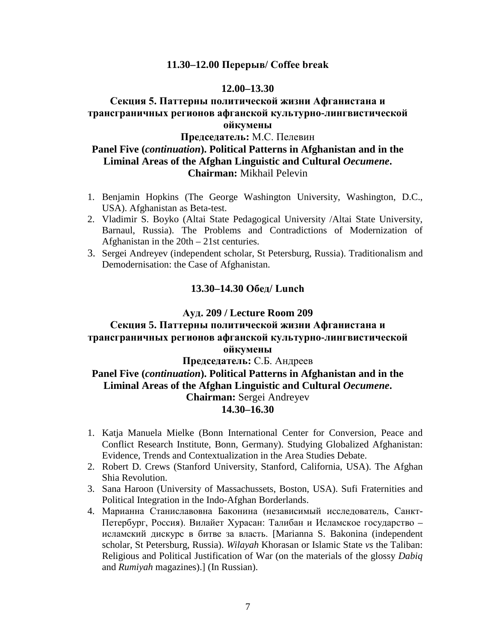#### **11.30–12.00 Перерыв/ Coffee break**

#### **12.00–13.30**

# **Секция 5. Паттерны политической жизни Афганистана и трансграничных регионов афганской культурно-лингвистической ойкумены**

### **Председатель:** М.С. Пелевин

## **Panel Five (***continuation***). Political Patterns in Afghanistan and in the Liminal Areas of the Afghan Linguistic and Cultural** *Oecumene***. Chairman:** Mikhail Pelevin

- 1. Benjamin Hopkins (The George Washington University, Washington, D.C., USA). Afghanistan as Beta-test.
- 2. Vladimir S. Boyko (Altai State Pedagogical University /Altai State University, Barnaul, Russia). The Problems and Contradictions of Modernization of Afghanistan in the 20th – 21st centuries.
- 3. Sergei Andreyev (independent scholar, St Petersburg, Russia). Traditionalism and Demodernisation: the Case of Afghanistan.

#### **13.30–14.30 Обед/ Lunch**

#### **Ауд. 209 / Lecture Room 209**

# **Секция 5. Паттерны политической жизни Афганистана и трансграничных регионов афганской культурно-лингвистической ойкумены Председатель:** С.Б. Андреев

# **Panel Five (***continuation***). Political Patterns in Afghanistan and in the Liminal Areas of the Afghan Linguistic and Cultural** *Oecumene***. Chairman:** Sergei Andreyev **14.30–16.30**

- 1. Katja Manuela Mielke (Bonn International Center for Conversion, Peace and Conflict Research Institute, Bonn, Germany). Studying Globalized Afghanistan: Evidence, Trends and Contextualization in the Area Studies Debate.
- 2. Robert D. Crews (Stanford University, Stanford, California, USA). The Afghan Shia Revolution.
- 3. Sana Haroon (University of Massachussets, Boston, USA). Sufi Fraternities and Political Integration in the Indo-Afghan Borderlands.
- 4. Марианна Станиславовна Баконина (независимый исследователь, Санкт-Петербург, Россия). Вилайет Хурасан: Талибан и Исламское государство – исламский дискурс в битве за власть. [Marianna S. Bakonina (independent scholar, St Petersburg, Russia). *Wilayah* Khorasan or Islamic State *vs* the Taliban: Religious and Political Justification of War (on the materials of the glossy *Dabiq* and *Rumiyah* magazines).] (In Russian).